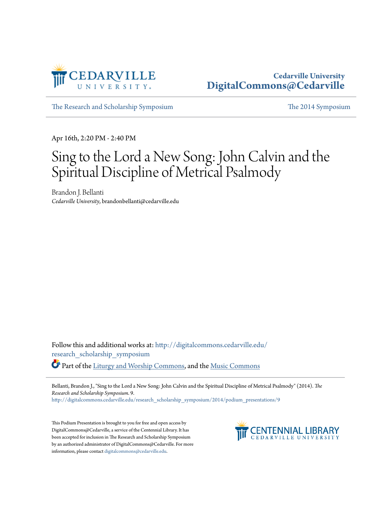

#### **Cedarville University [DigitalCommons@Cedarville](http://digitalcommons.cedarville.edu?utm_source=digitalcommons.cedarville.edu%2Fresearch_scholarship_symposium%2F2014%2Fpodium_presentations%2F9&utm_medium=PDF&utm_campaign=PDFCoverPages)**

[The Research and Scholarship Symposium](http://digitalcommons.cedarville.edu/research_scholarship_symposium?utm_source=digitalcommons.cedarville.edu%2Fresearch_scholarship_symposium%2F2014%2Fpodium_presentations%2F9&utm_medium=PDF&utm_campaign=PDFCoverPages) [The 2014 Symposium](http://digitalcommons.cedarville.edu/research_scholarship_symposium/2014?utm_source=digitalcommons.cedarville.edu%2Fresearch_scholarship_symposium%2F2014%2Fpodium_presentations%2F9&utm_medium=PDF&utm_campaign=PDFCoverPages)

Apr 16th, 2:20 PM - 2:40 PM

### Sing to the Lord a New Song: John Calvin and the Spiritual Discipline of Metrical Psalmody

Brandon J. Bellanti *Cedarville University*, brandonbellanti@cedarville.edu

Follow this and additional works at: [http://digitalcommons.cedarville.edu/](http://digitalcommons.cedarville.edu/research_scholarship_symposium?utm_source=digitalcommons.cedarville.edu%2Fresearch_scholarship_symposium%2F2014%2Fpodium_presentations%2F9&utm_medium=PDF&utm_campaign=PDFCoverPages) [research\\_scholarship\\_symposium](http://digitalcommons.cedarville.edu/research_scholarship_symposium?utm_source=digitalcommons.cedarville.edu%2Fresearch_scholarship_symposium%2F2014%2Fpodium_presentations%2F9&utm_medium=PDF&utm_campaign=PDFCoverPages) Part of the [Liturgy and Worship Commons,](http://network.bepress.com/hgg/discipline/1188?utm_source=digitalcommons.cedarville.edu%2Fresearch_scholarship_symposium%2F2014%2Fpodium_presentations%2F9&utm_medium=PDF&utm_campaign=PDFCoverPages) and the [Music Commons](http://network.bepress.com/hgg/discipline/518?utm_source=digitalcommons.cedarville.edu%2Fresearch_scholarship_symposium%2F2014%2Fpodium_presentations%2F9&utm_medium=PDF&utm_campaign=PDFCoverPages)

Bellanti, Brandon J., "Sing to the Lord a New Song: John Calvin and the Spiritual Discipline of Metrical Psalmody" (2014). *The*

*Research and Scholarship Symposium*. 9. [http://digitalcommons.cedarville.edu/research\\_scholarship\\_symposium/2014/podium\\_presentations/9](http://digitalcommons.cedarville.edu/research_scholarship_symposium/2014/podium_presentations/9?utm_source=digitalcommons.cedarville.edu%2Fresearch_scholarship_symposium%2F2014%2Fpodium_presentations%2F9&utm_medium=PDF&utm_campaign=PDFCoverPages)

This Podium Presentation is brought to you for free and open access by DigitalCommons@Cedarville, a service of the Centennial Library. It has been accepted for inclusion in The Research and Scholarship Symposium by an authorized administrator of DigitalCommons@Cedarville. For more information, please contact [digitalcommons@cedarville.edu.](mailto:digitalcommons@cedarville.edu)

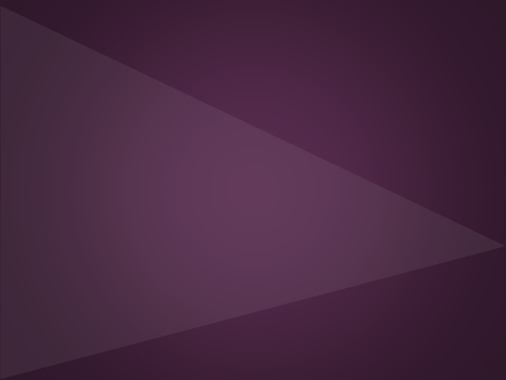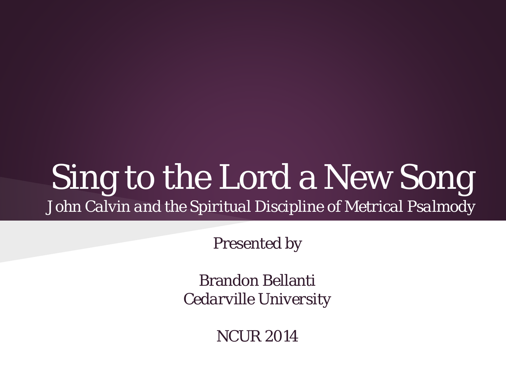## Sing to the Lord a New Song *John Calvin and the Spiritual Discipline of Metrical Psalmody*

Presented by

Brandon Bellanti *Cedarville University*

NCUR 2014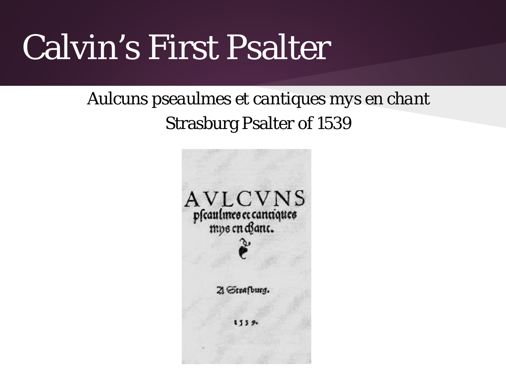## Calvin's First Psalter

### *Aulcuns pseaulmes et cantiques mys en chant* Strasburg Psalter of 1539

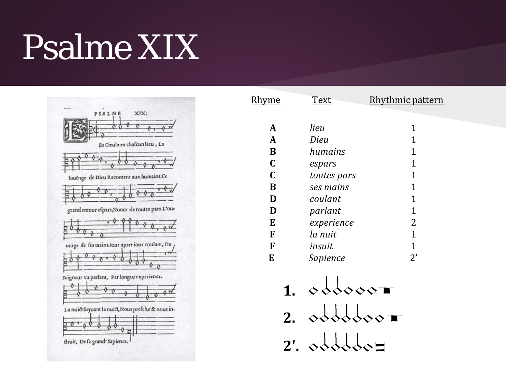# Psalme XIX



| Rhyme       | <b>Text</b> | Rhythmic pattern |
|-------------|-------------|------------------|
| A           | lieu        | 1                |
| A           | Dieu        | 1                |
| B           | humains     | 1                |
| $\mathbf C$ | espars      | 1                |
| $\mathbf C$ | toutes pars | 1                |
| B           | ses mains   | 1                |
| D           | coulant     | 1                |
| D           | parlant     | 1                |
| E           | experience  | 2                |
| F           | la nuit     | 1                |
| F           | insuit      | 1                |
| E           | Sapience    | $2^{\prime}$     |
|             |             |                  |

1.  $\circ\circ\circ\circ\cdot$ 

 $2.$   $\circ\circ\circ\circ\circ\bullet$  $2'$ .  $\circ \circ \circ \circ \circ \circ =$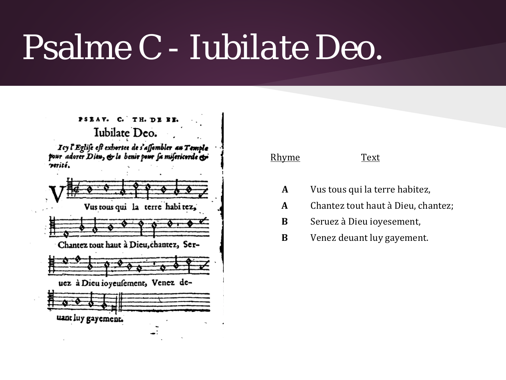## Psalme C - Iubilate Deo.

### PSEAV. C. TH. DE BE. **Iubilate Deo.** Icy l'Eglise est exhortee de s'assembler au Temple pour adorer Dieu, & le benir pour sa misericorde & verité. Vus tous qui la terre habi tez, Chantez tout haut à Dieu, chantez, Seruez à Dieu ioyeufement, Venez deuant luy gayement.

#### Rhyme

#### Text

- Vus tous qui la terre habitez.  $\mathbf{A}$
- $\mathbf{A}$ Chantez tout haut à Dieu, chantez;
- $\bf{B}$ Seruez à Dieu ioyesement,
- B Venez deuant luy gayement.